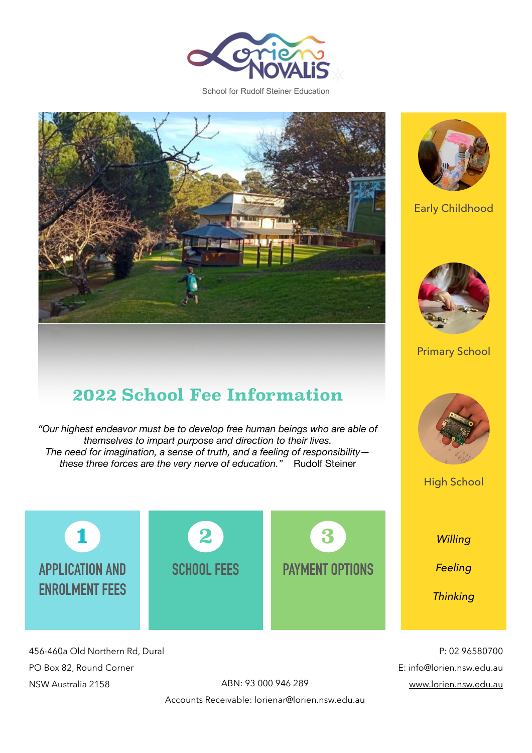

School for Rudolf Steiner Education



### **2022 School Fee Information**

*"Our highest endeavor must be to develop free human beings who are able of themselves to impart purpose and direction to their lives. The need for imagination, a sense of truth, and a feeling of responsibility these three forces are the very nerve of education."* Rudolf Steiner



456-460a Old Northern Rd, Dural PO Box 82, Round Corner NSW Australia 2158

Accounts Receivable: lorienar@lorien.nsw.edu.au



Early Childhood



Primary School



High School

*Willing* 

*Feeling* 

*Thinking*

P: 02 96580700 E: info@lorien.nsw.edu.au ABN: 93 000 946 289 [www.lorien.nsw.edu.au](http://www.lorien.nsw.edu.au)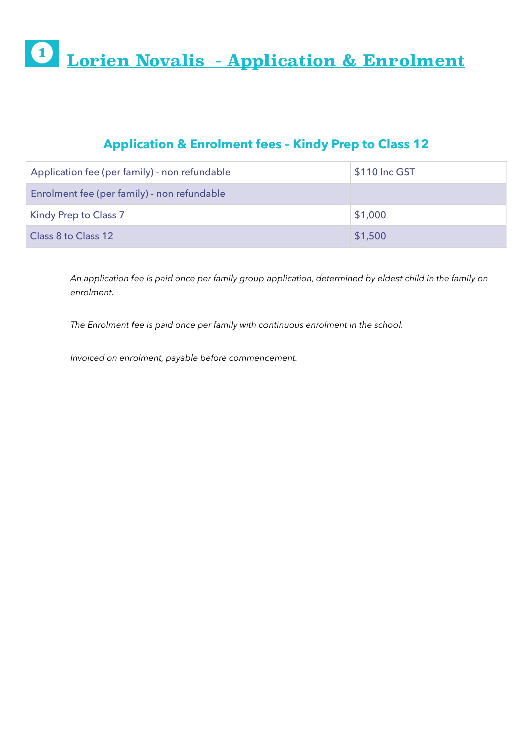# **Lorien Novalis - Application & Enrolment**

#### **Application & Enrolment fees – Kindy Prep to Class 12**

| Application fee (per family) - non refundable | \$110 Inc GST |
|-----------------------------------------------|---------------|
| Enrolment fee (per family) - non refundable   |               |
| <b>Kindy Prep to Class 7</b>                  | \$1,000       |
| Class 8 to Class 12                           | \$1,500       |

*An application fee is paid once per family group application, determined by eldest child in the family on enrolment.* 

*The Enrolment fee is paid once per family with continuous enrolment in the school.* 

*Invoiced on enrolment, payable before commencement.*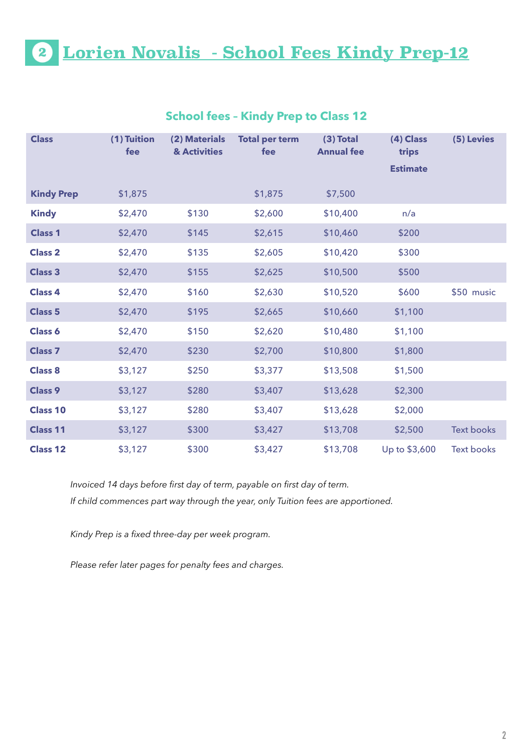## **Lorien Novalis - School Fees Kindy Prep-12**

| <b>Class</b>      | (1) Tuition<br>fee | (2) Materials<br>& Activities | <b>Total per term</b><br>fee | $(3)$ Total<br><b>Annual fee</b> | (4) Class<br>trips<br><b>Estimate</b> | (5) Levies        |
|-------------------|--------------------|-------------------------------|------------------------------|----------------------------------|---------------------------------------|-------------------|
| <b>Kindy Prep</b> | \$1,875            |                               | \$1,875                      | \$7,500                          |                                       |                   |
| <b>Kindy</b>      | \$2,470            | \$130                         | \$2,600                      | \$10,400                         | n/a                                   |                   |
| <b>Class 1</b>    | \$2,470            | \$145                         | \$2,615                      | \$10,460                         | \$200                                 |                   |
| <b>Class 2</b>    | \$2,470            | \$135                         | \$2,605                      | \$10,420                         | \$300                                 |                   |
| <b>Class 3</b>    | \$2,470            | \$155                         | \$2,625                      | \$10,500                         | \$500                                 |                   |
| <b>Class 4</b>    | \$2,470            | \$160                         | \$2,630                      | \$10,520                         | \$600                                 | \$50 music        |
| <b>Class 5</b>    | \$2,470            | \$195                         | \$2,665                      | \$10,660                         | \$1,100                               |                   |
| <b>Class 6</b>    | \$2,470            | \$150                         | \$2,620                      | \$10,480                         | \$1,100                               |                   |
| <b>Class 7</b>    | \$2,470            | \$230                         | \$2,700                      | \$10,800                         | \$1,800                               |                   |
| <b>Class 8</b>    | \$3,127            | \$250                         | \$3,377                      | \$13,508                         | \$1,500                               |                   |
| <b>Class 9</b>    | \$3,127            | \$280                         | \$3,407                      | \$13,628                         | \$2,300                               |                   |
| <b>Class 10</b>   | \$3,127            | \$280                         | \$3,407                      | \$13,628                         | \$2,000                               |                   |
| <b>Class 11</b>   | \$3,127            | \$300                         | \$3,427                      | \$13,708                         | \$2,500                               | <b>Text books</b> |
| <b>Class 12</b>   | \$3,127            | \$300                         | \$3,427                      | \$13,708                         | Up to \$3,600                         | <b>Text books</b> |

#### **School fees – Kindy Prep to Class 12**

*Invoiced 14 days before first day of term, payable on first day of term. If child commences part way through the year, only Tuition fees are apportioned.* 

*Kindy Prep is a fixed three-day per week program.* 

*Please refer later pages for penalty fees and charges.*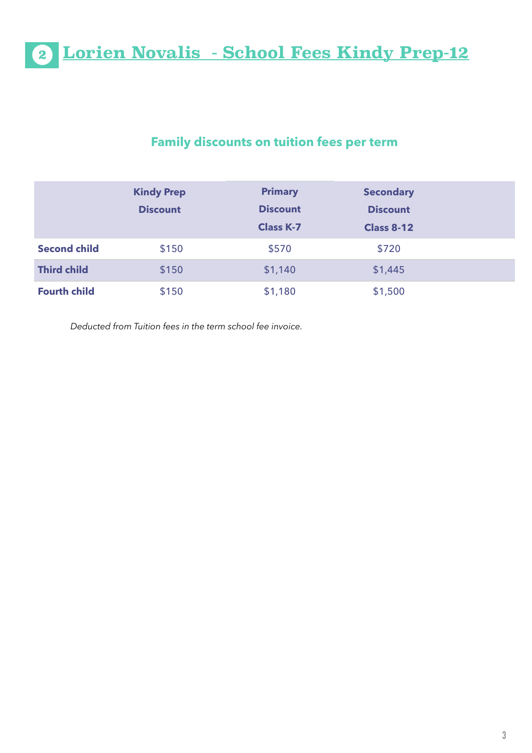**Lorien Novalis - School Fees Kindy Prep-12**

#### **Family discounts on tuition fees per term**

|                     | <b>Kindy Prep</b><br><b>Discount</b> | <b>Primary</b><br><b>Discount</b><br><b>Class K-7</b> | <b>Secondary</b><br><b>Discount</b><br><b>Class 8-12</b> |  |
|---------------------|--------------------------------------|-------------------------------------------------------|----------------------------------------------------------|--|
| <b>Second child</b> | \$150                                | \$570                                                 | \$720                                                    |  |
| <b>Third child</b>  | \$150                                | \$1,140                                               | \$1,445                                                  |  |
| <b>Fourth child</b> | \$150                                | \$1,180                                               | \$1,500                                                  |  |

*Deducted from Tuition fees in the term school fee invoice.*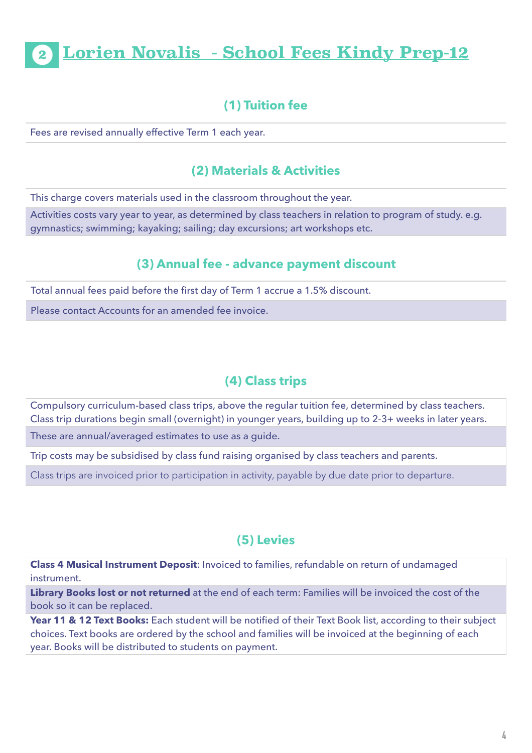### **Lorien Novalis - School Fees Kindy Prep-12**

#### **(1) Tuition fee**

Fees are revised annually effective Term 1 each year.

#### **(2) Materials & Activities**

This charge covers materials used in the classroom throughout the year.

Activities costs vary year to year, as determined by class teachers in relation to program of study. e.g. gymnastics; swimming; kayaking; sailing; day excursions; art workshops etc.

#### **(3) Annual fee - advance payment discount**

Total annual fees paid before the first day of Term 1 accrue a 1.5% discount.

Please contact Accounts for an amended fee invoice.

#### **(4) Class trips**

Compulsory curriculum-based class trips, above the regular tuition fee, determined by class teachers. Class trip durations begin small (overnight) in younger years, building up to 2-3+ weeks in later years.

These are annual/averaged estimates to use as a guide.

Trip costs may be subsidised by class fund raising organised by class teachers and parents.

Class trips are invoiced prior to participation in activity, payable by due date prior to departure.

#### **(5) Levies**

**Class 4 Musical Instrument Deposit**: Invoiced to families, refundable on return of undamaged instrument.

**Library Books lost or not returned** at the end of each term: Families will be invoiced the cost of the book so it can be replaced.

Year 11 & 12 Text Books: Each student will be notified of their Text Book list, according to their subject choices. Text books are ordered by the school and families will be invoiced at the beginning of each year. Books will be distributed to students on payment.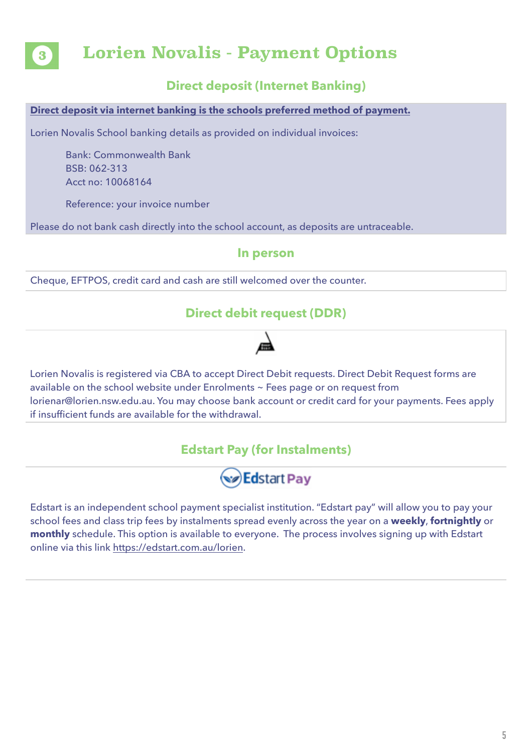

### **Lorien Novalis - Payment Options**

#### **Direct deposit (Internet Banking)**

#### **Direct deposit via internet banking is the schools preferred method of payment.**

Lorien Novalis School banking details as provided on individual invoices:

Bank: Commonwealth Bank BSB: 062-313 Acct no: 10068164

Reference: your invoice number

Please do not bank cash directly into the school account, as deposits are untraceable.

#### **In person**

Cheque, EFTPOS, credit card and cash are still welcomed over the counter.

#### **Direct debit request (DDR)**

Lorien Novalis is registered via CBA to accept Direct Debit requests. Direct Debit Request forms are available on the school website under Enrolments ~ Fees page or on request from lorienar@lorien.nsw.edu.au. You may choose bank account or credit card for your payments. Fees apply if insufficient funds are available for the withdrawal.

#### **Edstart Pay (for Instalments)**



Edstart is an independent school payment specialist institution. "Edstart pay" will allow you to pay your school fees and class trip fees by instalments spread evenly across the year on a **weekly**, **fortnightly** or **monthly** schedule. This option is available to everyone. The process involves signing up with Edstart online via this link [https://edstart.com.au/lorien.](https://edstart.com.au/lorien)